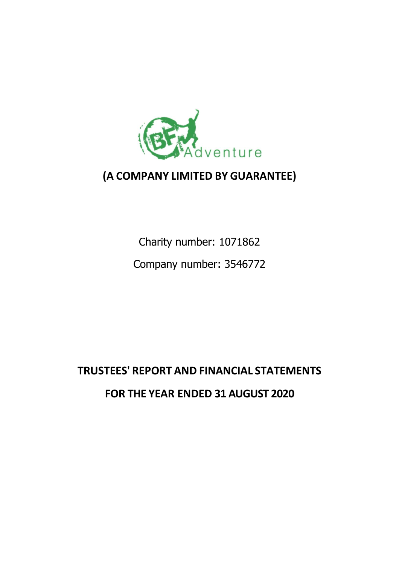

## **(A COMPANY LIMITED BY GUARANTEE)**

Charity number: 1071862 Company number: 3546772

# **TRUSTEES' REPORT AND FINANCIAL STATEMENTS FOR THE YEAR ENDED 31 AUGUST 2020**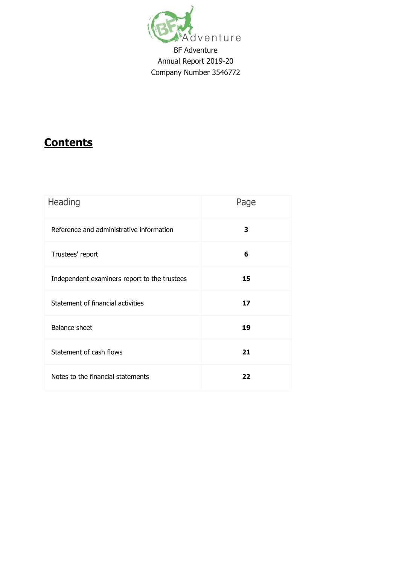

## **Contents**

| Heading                                      | Page |
|----------------------------------------------|------|
| Reference and administrative information     | 3    |
| Trustees' report                             | 6    |
| Independent examiners report to the trustees | 15   |
| Statement of financial activities            | 17   |
| <b>Balance sheet</b>                         | 19   |
| Statement of cash flows                      | 21   |
| Notes to the financial statements            | 22   |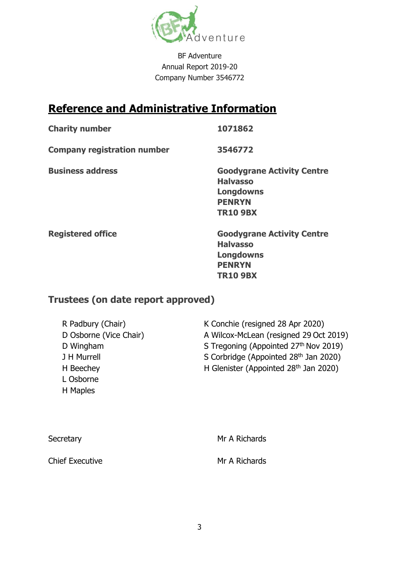

## **Reference and Administrative Information**

**Charity number 1071862**

**Company registration number 3546772**

**Business address Goodygrane Activity Centre Halvasso Longdowns PENRYN TR10 9BX**

**Registered office Goodygrane Activity Centre Halvasso Longdowns PENRYN TR10 9BX**

## **Trustees (on date report approved)**

| R Padbury (Chair)      | K Conchie (resigned 28 Apr 2020)       |
|------------------------|----------------------------------------|
| D Osborne (Vice Chair) | A Wilcox-McLean (resigned 29 Oct 2019) |
| D Wingham              | S Tregoning (Appointed 27th Nov 2019)  |
| J H Murrell            | S Corbridge (Appointed 28th Jan 2020)  |
| H Beechey              | H Glenister (Appointed 28th Jan 2020)  |
| L Osborne              |                                        |
| H Maples               |                                        |

| Secretary              | Mr A Richards |
|------------------------|---------------|
| <b>Chief Executive</b> | Mr A Richards |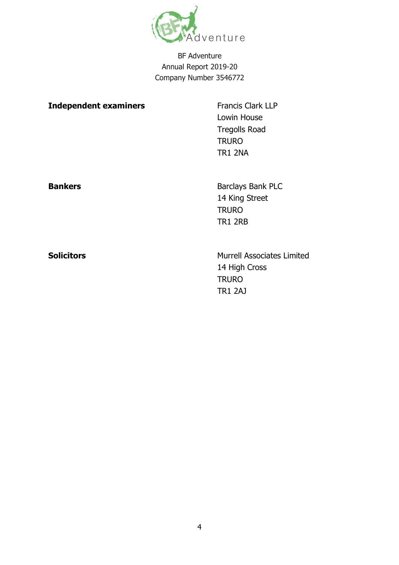

TR1 2AJ

| <b>Independent examiners</b> | <b>Francis Clark LLP</b><br>Lowin House<br><b>Tregolls Road</b><br><b>TRURO</b><br><b>TR1 2NA</b> |  |  |
|------------------------------|---------------------------------------------------------------------------------------------------|--|--|
| <b>Bankers</b>               | Barclays Bank PLC<br>14 King Street<br><b>TRURO</b><br><b>TR1 2RB</b>                             |  |  |
| <b>Solicitors</b>            | <b>Murrell Associates Limited</b><br>14 High Cross<br><b>TRURO</b>                                |  |  |

4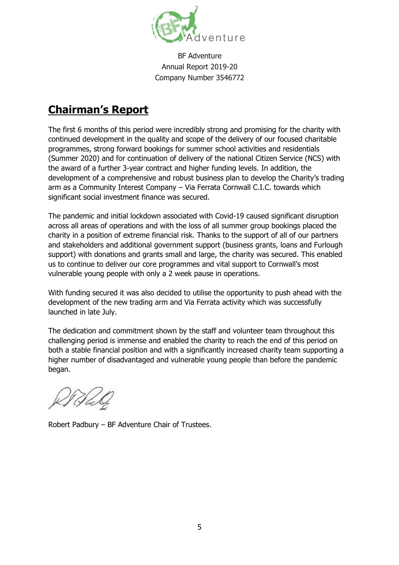

## **Chairman's Report**

The first 6 months of this period were incredibly strong and promising for the charity with continued development in the quality and scope of the delivery of our focused charitable programmes, strong forward bookings for summer school activities and residentials (Summer 2020) and for continuation of delivery of the national Citizen Service (NCS) with the award of a further 3-year contract and higher funding levels. In addition, the development of a comprehensive and robust business plan to develop the Charity's trading arm as a Community Interest Company – Via Ferrata Cornwall C.I.C. towards which significant social investment finance was secured.

The pandemic and initial lockdown associated with Covid-19 caused significant disruption across all areas of operations and with the loss of all summer group bookings placed the charity in a position of extreme financial risk. Thanks to the support of all of our partners and stakeholders and additional government support (business grants, loans and Furlough support) with donations and grants small and large, the charity was secured. This enabled us to continue to deliver our core programmes and vital support to Cornwall's most vulnerable young people with only a 2 week pause in operations.

With funding secured it was also decided to utilise the opportunity to push ahead with the development of the new trading arm and Via Ferrata activity which was successfully launched in late July.

The dedication and commitment shown by the staff and volunteer team throughout this challenging period is immense and enabled the charity to reach the end of this period on both a stable financial position and with a significantly increased charity team supporting a higher number of disadvantaged and vulnerable young people than before the pandemic began.

Robert Padbury – BF Adventure Chair of Trustees.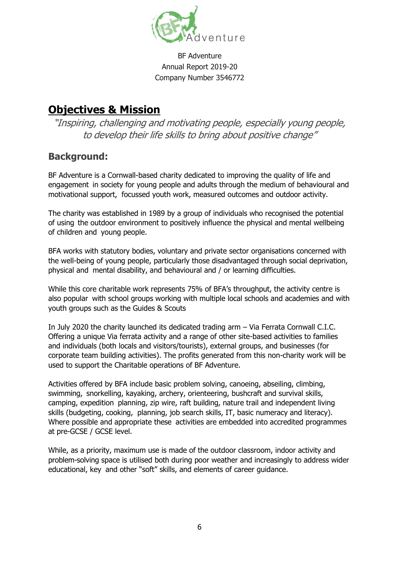

## **Objectives & Mission**

"Inspiring, challenging and motivating people, especially young people, to develop their life skills to bring about positive change"

## **Background:**

BF Adventure is a Cornwall-based charity dedicated to improving the quality of life and engagement in society for young people and adults through the medium of behavioural and motivational support, focussed youth work, measured outcomes and outdoor activity.

The charity was established in 1989 by a group of individuals who recognised the potential of using the outdoor environment to positively influence the physical and mental wellbeing of children and young people.

BFA works with statutory bodies, voluntary and private sector organisations concerned with the well-being of young people, particularly those disadvantaged through social deprivation, physical and mental disability, and behavioural and / or learning difficulties.

While this core charitable work represents 75% of BFA's throughput, the activity centre is also popular with school groups working with multiple local schools and academies and with youth groups such as the Guides & Scouts

In July 2020 the charity launched its dedicated trading arm – Via Ferrata Cornwall C.I.C. Offering a unique Via ferrata activity and a range of other site-based activities to families and individuals (both locals and visitors/tourists), external groups, and businesses (for corporate team building activities). The profits generated from this non-charity work will be used to support the Charitable operations of BF Adventure.

Activities offered by BFA include basic problem solving, canoeing, abseiling, climbing, swimming, snorkelling, kayaking, archery, orienteering, bushcraft and survival skills, camping, expedition planning, zip wire, raft building, nature trail and independent living skills (budgeting, cooking, planning, job search skills, IT, basic numeracy and literacy). Where possible and appropriate these activities are embedded into accredited programmes at pre-GCSE / GCSE level.

While, as a priority, maximum use is made of the outdoor classroom, indoor activity and problem-solving space is utilised both during poor weather and increasingly to address wider educational, key and other "soft" skills, and elements of career guidance.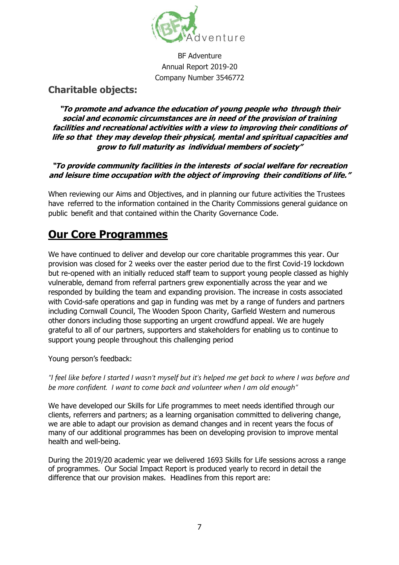

## **Charitable objects:**

**"To promote and advance the education of young people who through their social and economic circumstances are in need of the provision of training facilities and recreational activities with a view to improving their conditions of life so that they may develop their physical, mental and spiritual capacities and grow to full maturity as individual members of society"**

#### **"To provide community facilities in the interests of social welfare for recreation and leisure time occupation with the object of improving their conditions of life."**

When reviewing our Aims and Objectives, and in planning our future activities the Trustees have referred to the information contained in the Charity Commissions general guidance on public benefit and that contained within the Charity Governance Code.

## **Our Core Programmes**

We have continued to deliver and develop our core charitable programmes this year. Our provision was closed for 2 weeks over the easter period due to the first Covid-19 lockdown but re-opened with an initially reduced staff team to support young people classed as highly vulnerable, demand from referral partners grew exponentially across the year and we responded by building the team and expanding provision. The increase in costs associated with Covid-safe operations and gap in funding was met by a range of funders and partners including Cornwall Council, The Wooden Spoon Charity, Garfield Western and numerous other donors including those supporting an urgent crowdfund appeal. We are hugely grateful to all of our partners, supporters and stakeholders for enabling us to continue to support young people throughout this challenging period

Young person's feedback:

*"I feel like before I started I wasn't myself but it's helped me get back to where I was before and be more confident. I want to come back and volunteer when I am old enough"*

We have developed our Skills for Life programmes to meet needs identified through our clients, referrers and partners; as a learning organisation committed to delivering change, we are able to adapt our provision as demand changes and in recent years the focus of many of our additional programmes has been on developing provision to improve mental health and well-being.

During the 2019/20 academic year we delivered 1693 Skills for Life sessions across a range of programmes. Our Social Impact Report is produced yearly to record in detail the difference that our provision makes. Headlines from this report are: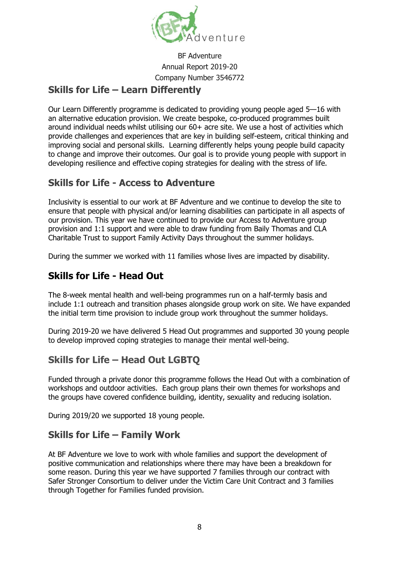

## **Skills for Life – Learn Differently**

Our Learn Differently programme is dedicated to providing young people aged 5—16 with an alternative education provision. We create bespoke, co-produced programmes built around individual needs whilst utilising our 60+ acre site. We use a host of activities which provide challenges and experiences that are key in building self-esteem, critical thinking and improving social and personal skills. Learning differently helps young people build capacity to change and improve their outcomes. Our goal is to provide young people with support in developing resilience and effective coping strategies for dealing with the stress of life.

## **Skills for Life - Access to Adventure**

Inclusivity is essential to our work at BF Adventure and we continue to develop the site to ensure that people with physical and/or learning disabilities can participate in all aspects of our provision. This year we have continued to provide our Access to Adventure group provision and 1:1 support and were able to draw funding from Baily Thomas and CLA Charitable Trust to support Family Activity Days throughout the summer holidays.

During the summer we worked with 11 families whose lives are impacted by disability.

## **Skills for Life - Head Out**

The 8-week mental health and well-being programmes run on a half-termly basis and include 1:1 outreach and transition phases alongside group work on site. We have expanded the initial term time provision to include group work throughout the summer holidays.

During 2019-20 we have delivered 5 Head Out programmes and supported 30 young people to develop improved coping strategies to manage their mental well-being.

## **Skills for Life – Head Out LGBTQ**

Funded through a private donor this programme follows the Head Out with a combination of workshops and outdoor activities. Each group plans their own themes for workshops and the groups have covered confidence building, identity, sexuality and reducing isolation.

During 2019/20 we supported 18 young people.

## **Skills for Life – Family Work**

At BF Adventure we love to work with whole families and support the development of positive communication and relationships where there may have been a breakdown for some reason. During this year we have supported 7 families through our contract with Safer Stronger Consortium to deliver under the Victim Care Unit Contract and 3 families through Together for Families funded provision.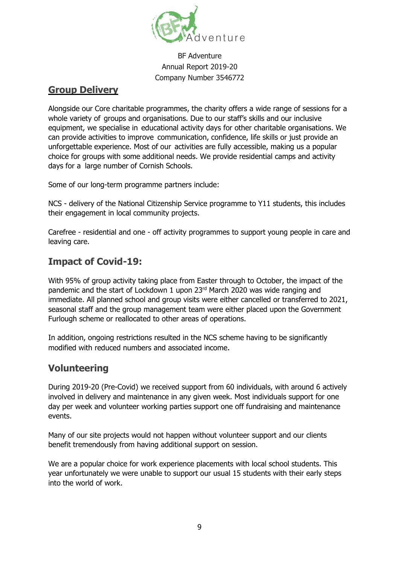

## **Group Delivery**

Alongside our Core charitable programmes, the charity offers a wide range of sessions for a whole variety of groups and organisations. Due to our staff's skills and our inclusive equipment, we specialise in educational activity days for other charitable organisations. We can provide activities to improve communication, confidence, life skills or just provide an unforgettable experience. Most of our activities are fully accessible, making us a popular choice for groups with some additional needs. We provide residential camps and activity days for a large number of Cornish Schools.

Some of our long-term programme partners include:

NCS - delivery of the National Citizenship Service programme to Y11 students, this includes their engagement in local community projects.

Carefree - residential and one - off activity programmes to support young people in care and leaving care.

## **Impact of Covid-19:**

With 95% of group activity taking place from Easter through to October, the impact of the pandemic and the start of Lockdown 1 upon 23rd March 2020 was wide ranging and immediate. All planned school and group visits were either cancelled or transferred to 2021, seasonal staff and the group management team were either placed upon the Government Furlough scheme or reallocated to other areas of operations.

In addition, ongoing restrictions resulted in the NCS scheme having to be significantly modified with reduced numbers and associated income.

## **Volunteering**

During 2019-20 (Pre-Covid) we received support from 60 individuals, with around 6 actively involved in delivery and maintenance in any given week. Most individuals support for one day per week and volunteer working parties support one off fundraising and maintenance events.

Many of our site projects would not happen without volunteer support and our clients benefit tremendously from having additional support on session.

We are a popular choice for work experience placements with local school students. This year unfortunately we were unable to support our usual 15 students with their early steps into the world of work.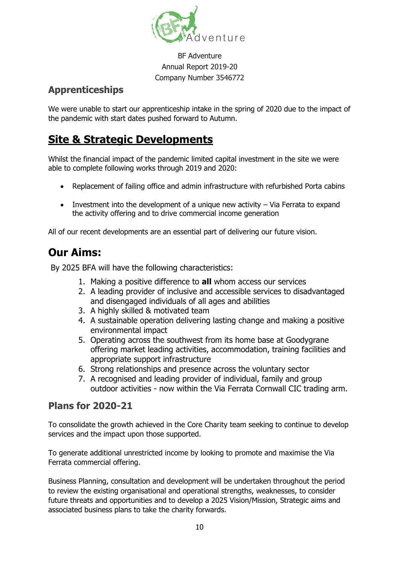

## **Apprenticeships**

We were unable to start our apprenticeship intake in the spring of 2020 due to the impact of the pandemic with start dates pushed forward to Autumn.

## **Site & Strategic Developments**

Whilst the financial impact of the pandemic limited capital investment in the site we were able to complete following works through 2019 and 2020:

- Replacement of failing office and admin infrastructure with refurbished Porta cabins
- Investment into the development of a unique new activity Via Ferrata to expand the activity offering and to drive commercial income generation

All of our recent developments are an essential part of delivering our future vision.

## **Our Aims:**

By 2025 BFA will have the following characteristics:

- 1. Making a positive difference to **all** whom access our services
- 2. A leading provider of inclusive and accessible services to disadvantaged and disengaged individuals of all ages and abilities
- 3. A highly skilled & motivated team
- 4. A sustainable operation delivering lasting change and making a positive environmental impact
- 5. Operating across the southwest from its home base at Goodygrane offering market leading activities, accommodation, training facilities and appropriate support infrastructure
- 6. Strong relationships and presence across the voluntary sector
- 7. A recognised and leading provider of individual, family and group outdoor activities - now within the Via Ferrata Cornwall CIC trading arm.

## **Plans for 2020-21**

To consolidate the growth achieved in the Core Charity team seeking to continue to develop services and the impact upon those supported.

To generate additional unrestricted income by looking to promote and maximise the Via Ferrata commercial offering.

Business Planning, consultation and development will be undertaken throughout the period to review the existing organisational and operational strengths, weaknesses, to consider future threats and opportunities and to develop a 2025 Vision/Mission, Strategic aims and associated business plans to take the charity forwards.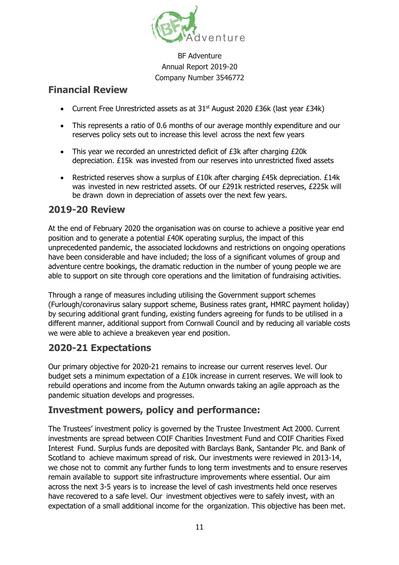

## **Financial Review**

- Current Free Unrestricted assets as at 31<sup>st</sup> August 2020 £36k (last year £34k)
- This represents a ratio of 0.6 months of our average monthly expenditure and our reserves policy sets out to increase this level across the next few years
- This year we recorded an unrestricted deficit of £3k after charging £20k depreciation. £15k was invested from our reserves into unrestricted fixed assets
- Restricted reserves show a surplus of  $E10k$  after charging  $E45k$  depreciation.  $E14k$ was invested in new restricted assets. Of our £291k restricted reserves, £225k will be drawn down in depreciation of assets over the next few years.

## **2019-20 Review**

At the end of February 2020 the organisation was on course to achieve a positive year end position and to generate a potential £40K operating surplus, the impact of this unprecedented pandemic, the associated lockdowns and restrictions on ongoing operations have been considerable and have included; the loss of a significant volumes of group and adventure centre bookings, the dramatic reduction in the number of young people we are able to support on site through core operations and the limitation of fundraising activities.

Through a range of measures including utilising the Government support schemes (Furlough/coronavirus salary support scheme, Business rates grant, HMRC payment holiday) by securing additional grant funding, existing funders agreeing for funds to be utilised in a different manner, additional support from Cornwall Council and by reducing all variable costs we were able to achieve a breakeven year end position.

## **2020-21 Expectations**

Our primary objective for 2020-21 remains to increase our current reserves level. Our budget sets a minimum expectation of a £10k increase in current reserves. We will look to rebuild operations and income from the Autumn onwards taking an agile approach as the pandemic situation develops and progresses.

## **Investment powers, policy and performance:**

The Trustees' investment policy is governed by the Trustee Investment Act 2000. Current investments are spread between COIF Charities Investment Fund and COIF Charities Fixed Interest Fund. Surplus funds are deposited with Barclays Bank, Santander Plc. and Bank of Scotland to achieve maximum spread of risk. Our investments were reviewed in 2013-14, we chose not to commit any further funds to long term investments and to ensure reserves remain available to support site infrastructure improvements where essential. Our aim across the next 3-5 years is to increase the level of cash investments held once reserves have recovered to a safe level. Our investment objectives were to safely invest, with an expectation of a small additional income for the organization. This objective has been met.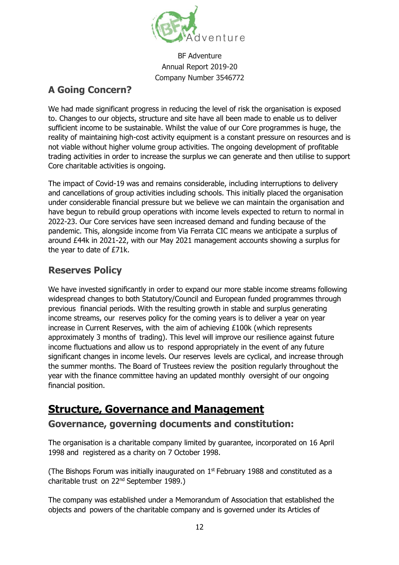

## **A Going Concern?**

We had made significant progress in reducing the level of risk the organisation is exposed to. Changes to our objects, structure and site have all been made to enable us to deliver sufficient income to be sustainable. Whilst the value of our Core programmes is huge, the reality of maintaining high-cost activity equipment is a constant pressure on resources and is not viable without higher volume group activities. The ongoing development of profitable trading activities in order to increase the surplus we can generate and then utilise to support Core charitable activities is ongoing.

The impact of Covid-19 was and remains considerable, including interruptions to delivery and cancellations of group activities including schools. This initially placed the organisation under considerable financial pressure but we believe we can maintain the organisation and have begun to rebuild group operations with income levels expected to return to normal in 2022-23. Our Core services have seen increased demand and funding because of the pandemic. This, alongside income from Via Ferrata CIC means we anticipate a surplus of around £44k in 2021-22, with our May 2021 management accounts showing a surplus for the year to date of £71k.

## **Reserves Policy**

We have invested significantly in order to expand our more stable income streams following widespread changes to both Statutory/Council and European funded programmes through previous financial periods. With the resulting growth in stable and surplus generating income streams, our reserves policy for the coming years is to deliver a year on year increase in Current Reserves, with the aim of achieving £100k (which represents approximately 3 months of trading). This level will improve our resilience against future income fluctuations and allow us to respond appropriately in the event of any future significant changes in income levels. Our reserves levels are cyclical, and increase through the summer months. The Board of Trustees review the position regularly throughout the year with the finance committee having an updated monthly oversight of our ongoing financial position.

## **Structure, Governance and Management**

## **Governance, governing documents and constitution:**

The organisation is a charitable company limited by guarantee, incorporated on 16 April 1998 and registered as a charity on 7 October 1998.

(The Bishops Forum was initially inaugurated on  $1<sup>st</sup>$  February 1988 and constituted as a charitable trust on 22nd September 1989.)

The company was established under a Memorandum of Association that established the objects and powers of the charitable company and is governed under its Articles of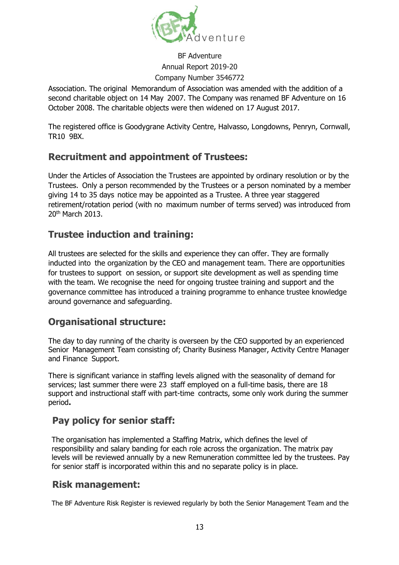

Association. The original Memorandum of Association was amended with the addition of a second charitable object on 14 May 2007. The Company was renamed BF Adventure on 16 October 2008. The charitable objects were then widened on 17 August 2017.

The registered office is Goodygrane Activity Centre, Halvasso, Longdowns, Penryn, Cornwall, TR10 9BX.

## **Recruitment and appointment of Trustees:**

Under the Articles of Association the Trustees are appointed by ordinary resolution or by the Trustees. Only a person recommended by the Trustees or a person nominated by a member giving 14 to 35 days notice may be appointed as a Trustee. A three year staggered retirement/rotation period (with no maximum number of terms served) was introduced from 20th March 2013.

## **Trustee induction and training:**

All trustees are selected for the skills and experience they can offer. They are formally inducted into the organization by the CEO and management team. There are opportunities for trustees to support on session, or support site development as well as spending time with the team. We recognise the need for ongoing trustee training and support and the governance committee has introduced a training programme to enhance trustee knowledge around governance and safeguarding.

## **Organisational structure:**

The day to day running of the charity is overseen by the CEO supported by an experienced Senior Management Team consisting of; Charity Business Manager, Activity Centre Manager and Finance Support.

There is significant variance in staffing levels aligned with the seasonality of demand for services; last summer there were 23 staff employed on a full-time basis, there are 18 support and instructional staff with part-time contracts, some only work during the summer period**.**

## **Pay policy for senior staff:**

The organisation has implemented a Staffing Matrix, which defines the level of responsibility and salary banding for each role across the organization. The matrix pay levels will be reviewed annually by a new Remuneration committee led by the trustees. Pay for senior staff is incorporated within this and no separate policy is in place.

## **Risk management:**

The BF Adventure Risk Register is reviewed regularly by both the Senior Management Team and the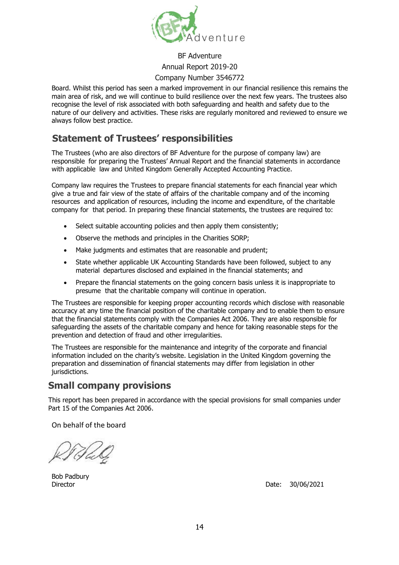

## BF Adventure

#### Annual Report 2019-20

#### Company Number 3546772

Board. Whilst this period has seen a marked improvement in our financial resilience this remains the main area of risk, and we will continue to build resilience over the next few years. The trustees also recognise the level of risk associated with both safeguarding and health and safety due to the nature of our delivery and activities. These risks are regularly monitored and reviewed to ensure we always follow best practice.

## **Statement of Trustees' responsibilities**

The Trustees (who are also directors of BF Adventure for the purpose of company law) are responsible for preparing the Trustees' Annual Report and the financial statements in accordance with applicable law and United Kingdom Generally Accepted Accounting Practice.

Company law requires the Trustees to prepare financial statements for each financial year which give a true and fair view of the state of affairs of the charitable company and of the incoming resources and application of resources, including the income and expenditure, of the charitable company for that period. In preparing these financial statements, the trustees are required to:

- Select suitable accounting policies and then apply them consistently;
- Observe the methods and principles in the Charities SORP;
- Make judgments and estimates that are reasonable and prudent;
- State whether applicable UK Accounting Standards have been followed, subject to any material departures disclosed and explained in the financial statements; and
- Prepare the financial statements on the going concern basis unless it is inappropriate to presume that the charitable company will continue in operation.

The Trustees are responsible for keeping proper accounting records which disclose with reasonable accuracy at any time the financial position of the charitable company and to enable them to ensure that the financial statements comply with the Companies Act 2006. They are also responsible for safeguarding the assets of the charitable company and hence for taking reasonable steps for the prevention and detection of fraud and other irregularities.

The Trustees are responsible for the maintenance and integrity of the corporate and financial information included on the charity's website. Legislation in the United Kingdom governing the preparation and dissemination of financial statements may differ from legislation in other jurisdictions.

## **Small company provisions**

This report has been prepared in accordance with the special provisions for small companies under Part 15 of the Companies Act 2006.

On behalf of the board

Bob Padbury

Director Date: 30/06/2021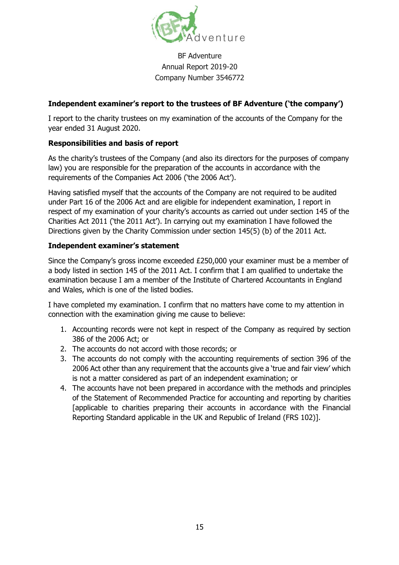

#### **Independent examiner's report to the trustees of BF Adventure ('the company')**

I report to the charity trustees on my examination of the accounts of the Company for the year ended 31 August 2020.

#### **Responsibilities and basis of report**

As the charity's trustees of the Company (and also its directors for the purposes of company law) you are responsible for the preparation of the accounts in accordance with the requirements of the Companies Act 2006 ('the 2006 Act').

Having satisfied myself that the accounts of the Company are not required to be audited under Part 16 of the 2006 Act and are eligible for independent examination, I report in respect of my examination of your charity's accounts as carried out under section 145 of the Charities Act 2011 ('the 2011 Act'). In carrying out my examination I have followed the Directions given by the Charity Commission under section 145(5) (b) of the 2011 Act.

#### **Independent examiner's statement**

Since the Company's gross income exceeded £250,000 your examiner must be a member of a body listed in section 145 of the 2011 Act. I confirm that I am qualified to undertake the examination because I am a member of the Institute of Chartered Accountants in England and Wales, which is one of the listed bodies.

I have completed my examination. I confirm that no matters have come to my attention in connection with the examination giving me cause to believe:

- 1. Accounting records were not kept in respect of the Company as required by section 386 of the 2006 Act; or
- 2. The accounts do not accord with those records; or
- 3. The accounts do not comply with the accounting requirements of section 396 of the 2006 Act other than any requirement that the accounts give a 'true and fair view' which is not a matter considered as part of an independent examination; or
- 4. The accounts have not been prepared in accordance with the methods and principles of the Statement of Recommended Practice for accounting and reporting by charities [applicable to charities preparing their accounts in accordance with the Financial Reporting Standard applicable in the UK and Republic of Ireland (FRS 102)].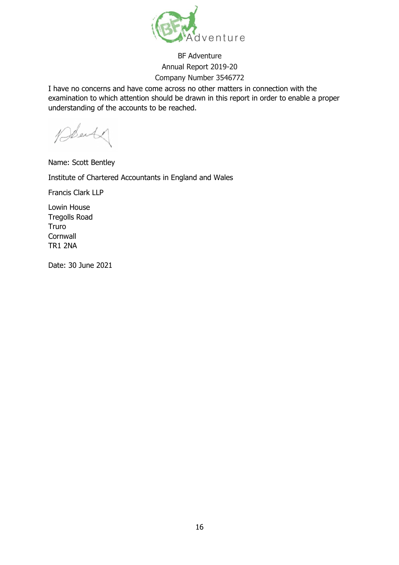

I have no concerns and have come across no other matters in connection with the examination to which attention should be drawn in this report in order to enable a proper understanding of the accounts to be reached.

Beach

Name: Scott Bentley

Institute of Chartered Accountants in England and Wales

Francis Clark LLP

Lowin House Tregolls Road Truro **Cornwall** TR1 2NA

Date: 30 June 2021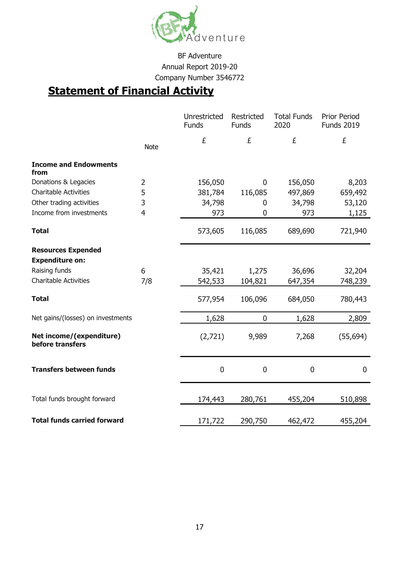

# **Statement of Financial Activity**

|                                              |                | Unrestricted<br>Funds | Restricted<br>Funds | <b>Total Funds</b><br>2020 | <b>Prior Period</b><br><b>Funds 2019</b> |
|----------------------------------------------|----------------|-----------------------|---------------------|----------------------------|------------------------------------------|
|                                              | <b>Note</b>    | £                     | £                   | £                          | £                                        |
| <b>Income and Endowments</b><br>from         |                |                       |                     |                            |                                          |
| Donations & Legacies                         | $\overline{2}$ | 156,050               | $\mathbf 0$         | 156,050                    | 8,203                                    |
| <b>Charitable Activities</b>                 | 5              | 381,784               | 116,085             | 497,869                    | 659,492                                  |
| Other trading activities                     | 3              | 34,798                | $\mathbf 0$         | 34,798                     | 53,120                                   |
| Income from investments                      | $\overline{4}$ | 973                   | $\mathbf 0$         | 973                        | 1,125                                    |
| <b>Total</b>                                 |                | 573,605               | 116,085             | 689,690                    | 721,940                                  |
| <b>Resources Expended</b>                    |                |                       |                     |                            |                                          |
| <b>Expenditure on:</b>                       |                |                       |                     |                            |                                          |
| Raising funds                                | 6              | 35,421                | 1,275               | 36,696                     | 32,204                                   |
| <b>Charitable Activities</b>                 | 7/8            | 542,533               | 104,821             | 647,354                    | 748,239                                  |
| <b>Total</b>                                 |                | 577,954               | 106,096             | 684,050                    | 780,443                                  |
| Net gains/(losses) on investments            |                | 1,628                 | $\mathbf 0$         | 1,628                      | 2,809                                    |
| Net income/(expenditure)<br>before transfers |                | (2,721)               | 9,989               | 7,268                      | (55, 694)                                |
| <b>Transfers between funds</b>               |                | $\mathbf 0$           | $\mathbf 0$         | $\mathbf 0$                | $\overline{0}$                           |
| Total funds brought forward                  |                | 174,443               | 280,761             | 455,204                    | 510,898                                  |
| <b>Total funds carried forward</b>           |                | 171,722               | 290,750             | 462,472                    | 455,204                                  |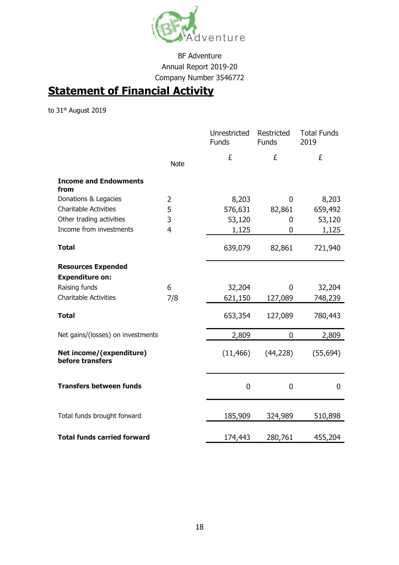

# **Statement of Financial Activity**

to 31st August 2019

|                                                     |                | Unrestricted<br><b>Funds</b> | Restricted<br><b>Funds</b> | <b>Total Funds</b><br>2019 |
|-----------------------------------------------------|----------------|------------------------------|----------------------------|----------------------------|
|                                                     | <b>Note</b>    | £                            | £                          | £                          |
| <b>Income and Endowments</b><br>from                |                |                              |                            |                            |
| Donations & Legacies                                | $\overline{2}$ | 8,203                        | $\mathbf 0$                | 8,203                      |
| <b>Charitable Activities</b>                        | 5              | 576,631                      | 82,861                     | 659,492                    |
| Other trading activities                            | 3              | 53,120                       | 0                          | 53,120                     |
| Income from investments                             | $\overline{4}$ | 1,125                        | $\overline{0}$             | 1,125                      |
| <b>Total</b>                                        |                | 639,079                      | 82,861                     | 721,940                    |
| <b>Resources Expended</b><br><b>Expenditure on:</b> |                |                              |                            |                            |
| Raising funds                                       | 6              | 32,204                       | $\mathbf{0}$               | 32,204                     |
| <b>Charitable Activities</b>                        | 7/8            | 621,150                      | 127,089                    | 748,239                    |
| <b>Total</b>                                        |                | 653,354                      | 127,089                    | 780,443                    |
| Net gains/(losses) on investments                   |                | 2,809                        | $\overline{0}$             | 2,809                      |
| Net income/(expenditure)<br>before transfers        |                | (11, 466)                    | (44, 228)                  | (55, 694)                  |
| <b>Transfers between funds</b>                      |                | 0                            | $\overline{0}$             | 0                          |
| Total funds brought forward                         |                | 185,909                      | 324,989                    | 510,898                    |
| <b>Total funds carried forward</b>                  |                | 174,443                      | 280,761                    | 455,204                    |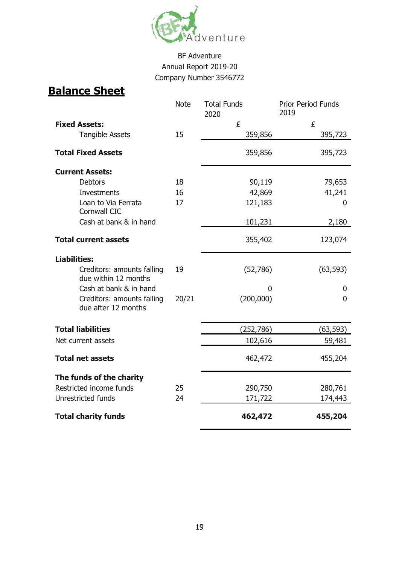

# **Balance Sheet**

|                                                    | <b>Note</b> | <b>Total Funds</b> | <b>Prior Period Funds</b><br>2019 |
|----------------------------------------------------|-------------|--------------------|-----------------------------------|
| <b>Fixed Assets:</b>                               |             | 2020<br>£          | £                                 |
| <b>Tangible Assets</b>                             | 15          | 359,856            | 395,723                           |
|                                                    |             |                    |                                   |
| <b>Total Fixed Assets</b>                          |             | 359,856            | 395,723                           |
| <b>Current Assets:</b>                             |             |                    |                                   |
| <b>Debtors</b>                                     | 18          | 90,119             | 79,653                            |
| <b>Investments</b>                                 | 16          | 42,869             | 41,241                            |
| Loan to Via Ferrata<br>Cornwall CIC                | 17          | 121,183            | 0                                 |
| Cash at bank & in hand                             |             | 101,231            | 2,180                             |
| <b>Total current assets</b>                        |             | 355,402            | 123,074                           |
| <b>Liabilities:</b>                                |             |                    |                                   |
| Creditors: amounts falling<br>due within 12 months | 19          | (52,786)           | (63, 593)                         |
| Cash at bank & in hand                             |             | 0                  | 0                                 |
| Creditors: amounts falling<br>due after 12 months  | 20/21       | (200,000)          | 0                                 |
| <b>Total liabilities</b>                           |             | (252, 786)         | (63,593)                          |
| Net current assets                                 |             | 102,616            | 59,481                            |
| <b>Total net assets</b>                            |             | 462,472            | 455,204                           |
| The funds of the charity                           |             |                    |                                   |
| Restricted income funds                            | 25          | 290,750            | 280,761                           |
| Unrestricted funds                                 | 24          | 171,722            | 174,443                           |
| <b>Total charity funds</b>                         |             | 462,472            | 455,204                           |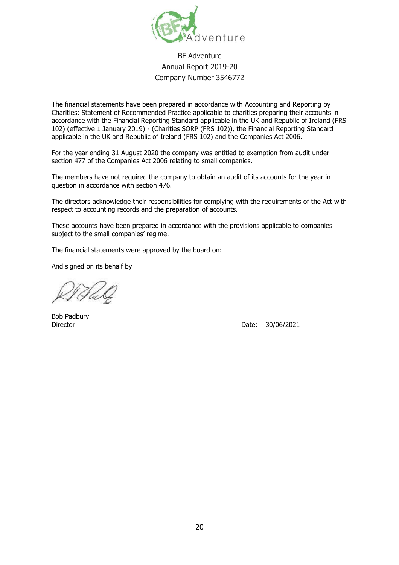

The financial statements have been prepared in accordance with Accounting and Reporting by Charities: Statement of Recommended Practice applicable to charities preparing their accounts in accordance with the Financial Reporting Standard applicable in the UK and Republic of Ireland (FRS 102) (effective 1 January 2019) - (Charities SORP (FRS 102)), the Financial Reporting Standard applicable in the UK and Republic of Ireland (FRS 102) and the Companies Act 2006.

For the year ending 31 August 2020 the company was entitled to exemption from audit under section 477 of the Companies Act 2006 relating to small companies.

The members have not required the company to obtain an audit of its accounts for the year in question in accordance with section 476.

The directors acknowledge their responsibilities for complying with the requirements of the Act with respect to accounting records and the preparation of accounts.

These accounts have been prepared in accordance with the provisions applicable to companies subject to the small companies' regime.

The financial statements were approved by the board on:

And signed on its behalf by

Bob Padbury

Director **Director** Date: 30/06/2021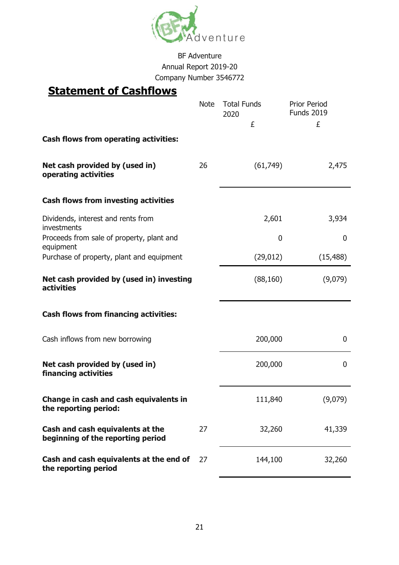

## **Statement of Cashflows**

|                                                                       | <b>Note</b> | <b>Total Funds</b><br>2020 | <b>Prior Period</b><br><b>Funds 2019</b> |  |
|-----------------------------------------------------------------------|-------------|----------------------------|------------------------------------------|--|
|                                                                       |             | £                          | £                                        |  |
| <b>Cash flows from operating activities:</b>                          |             |                            |                                          |  |
| Net cash provided by (used in)<br>operating activities                | 26          | (61, 749)                  | 2,475                                    |  |
| <b>Cash flows from investing activities</b>                           |             |                            |                                          |  |
| Dividends, interest and rents from<br>investments                     |             | 2,601                      | 3,934                                    |  |
| Proceeds from sale of property, plant and<br>equipment                |             | 0                          | 0                                        |  |
| Purchase of property, plant and equipment                             |             | (29, 012)                  | (15, 488)                                |  |
| Net cash provided by (used in) investing<br><b>activities</b>         |             | (88, 160)                  | (9,079)                                  |  |
| <b>Cash flows from financing activities:</b>                          |             |                            |                                          |  |
| Cash inflows from new borrowing                                       |             | 200,000                    | 0                                        |  |
| Net cash provided by (used in)<br>financing activities                |             | 200,000                    | 0                                        |  |
| Change in cash and cash equivalents in<br>the reporting period:       |             | 111,840                    | (9,079)                                  |  |
| Cash and cash equivalents at the<br>beginning of the reporting period | 27          | 32,260                     | 41,339                                   |  |
| Cash and cash equivalents at the end of<br>the reporting period       | 27          | 144,100                    | 32,260                                   |  |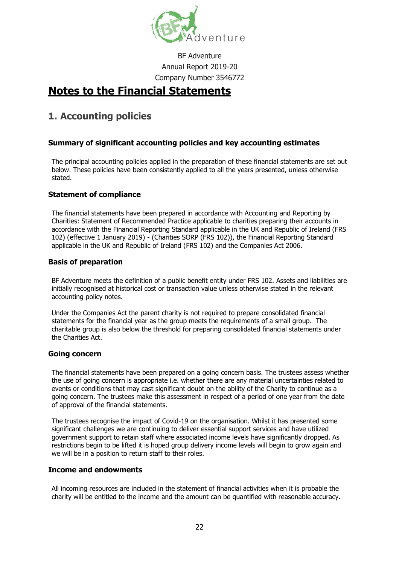

## **Notes to the Financial Statements**

## **1. Accounting policies**

#### **Summary of significant accounting policies and key accounting estimates**

The principal accounting policies applied in the preparation of these financial statements are set out below. These policies have been consistently applied to all the years presented, unless otherwise stated.

#### **Statement of compliance**

The financial statements have been prepared in accordance with Accounting and Reporting by Charities: Statement of Recommended Practice applicable to charities preparing their accounts in accordance with the Financial Reporting Standard applicable in the UK and Republic of Ireland (FRS 102) (effective 1 January 2019) - (Charities SORP (FRS 102)), the Financial Reporting Standard applicable in the UK and Republic of Ireland (FRS 102) and the Companies Act 2006.

#### **Basis of preparation**

BF Adventure meets the definition of a public benefit entity under FRS 102. Assets and liabilities are initially recognised at historical cost or transaction value unless otherwise stated in the relevant accounting policy notes.

Under the Companies Act the parent charity is not required to prepare consolidated financial statements for the financial year as the group meets the requirements of a small group. The charitable group is also below the threshold for preparing consolidated financial statements under the Charities Act.

#### **Going concern**

The financial statements have been prepared on a going concern basis. The trustees assess whether the use of going concern is appropriate i.e. whether there are any material uncertainties related to events or conditions that may cast significant doubt on the ability of the Charity to continue as a going concern. The trustees make this assessment in respect of a period of one year from the date of approval of the financial statements.

The trustees recognise the impact of Covid-19 on the organisation. Whilst it has presented some significant challenges we are continuing to deliver essential support services and have utilized government support to retain staff where associated income levels have significantly dropped. As restrictions begin to be lifted it is hoped group delivery income levels will begin to grow again and we will be in a position to return staff to their roles.

#### **Income and endowments**

All incoming resources are included in the statement of financial activities when it is probable the charity will be entitled to the income and the amount can be quantified with reasonable accuracy.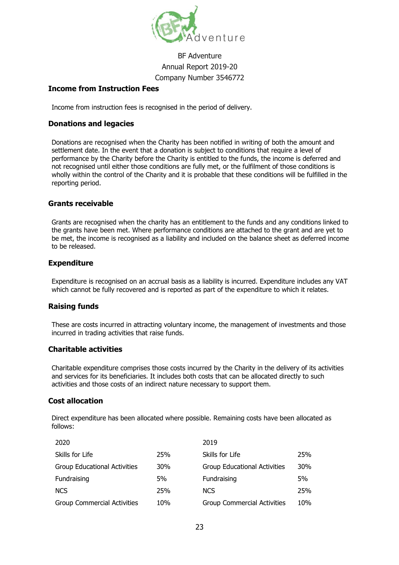

#### **Income from Instruction Fees**

Income from instruction fees is recognised in the period of delivery.

#### **Donations and legacies**

Donations are recognised when the Charity has been notified in writing of both the amount and settlement date. In the event that a donation is subject to conditions that require a level of performance by the Charity before the Charity is entitled to the funds, the income is deferred and not recognised until either those conditions are fully met, or the fulfilment of those conditions is wholly within the control of the Charity and it is probable that these conditions will be fulfilled in the reporting period.

#### **Grants receivable**

Grants are recognised when the charity has an entitlement to the funds and any conditions linked to the grants have been met. Where performance conditions are attached to the grant and are yet to be met, the income is recognised as a liability and included on the balance sheet as deferred income to be released.

#### **Expenditure**

Expenditure is recognised on an accrual basis as a liability is incurred. Expenditure includes any VAT which cannot be fully recovered and is reported as part of the expenditure to which it relates.

#### **Raising funds**

These are costs incurred in attracting voluntary income, the management of investments and those incurred in trading activities that raise funds.

#### **Charitable activities**

Charitable expenditure comprises those costs incurred by the Charity in the delivery of its activities and services for its beneficiaries. It includes both costs that can be allocated directly to such activities and those costs of an indirect nature necessary to support them.

#### **Cost allocation**

Direct expenditure has been allocated where possible. Remaining costs have been allocated as follows:

| 2020                                |            | 2019                                |     |
|-------------------------------------|------------|-------------------------------------|-----|
| Skills for Life                     | 25%        | Skills for Life                     | 25% |
| <b>Group Educational Activities</b> | <b>30%</b> | <b>Group Educational Activities</b> | 30% |
| Fundraising                         | 5%         | Fundraising                         | 5%  |
| <b>NCS</b>                          | 25%        | <b>NCS</b>                          | 25% |
| <b>Group Commercial Activities</b>  | 10%        | <b>Group Commercial Activities</b>  | 10% |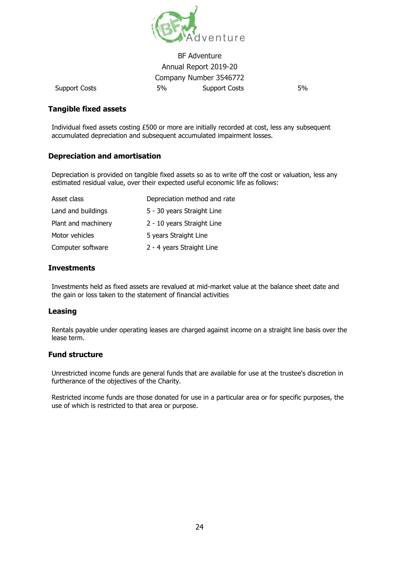

#### BF Adventure Annual Report 2019-20 Company Number 3546772 Support Costs 5% Support Costs 5%

#### **Tangible fixed assets**

Individual fixed assets costing £500 or more are initially recorded at cost, less any subsequent accumulated depreciation and subsequent accumulated impairment losses.

#### **Depreciation and amortisation**

Depreciation is provided on tangible fixed assets so as to write off the cost or valuation, less any estimated residual value, over their expected useful economic life as follows:

| Asset class         | Depreciation method and rate |
|---------------------|------------------------------|
| Land and buildings  | 5 - 30 years Straight Line   |
| Plant and machinery | 2 - 10 years Straight Line   |
| Motor vehicles      | 5 years Straight Line        |
| Computer software   | 2 - 4 years Straight Line    |

#### **Investments**

Investments held as fixed assets are revalued at mid-market value at the balance sheet date and the gain or loss taken to the statement of financial activities

#### **Leasing**

Rentals payable under operating leases are charged against income on a straight line basis over the lease term.

#### **Fund structure**

Unrestricted income funds are general funds that are available for use at the trustee's discretion in furtherance of the objectives of the Charity.

Restricted income funds are those donated for use in a particular area or for specific purposes, the use of which is restricted to that area or purpose.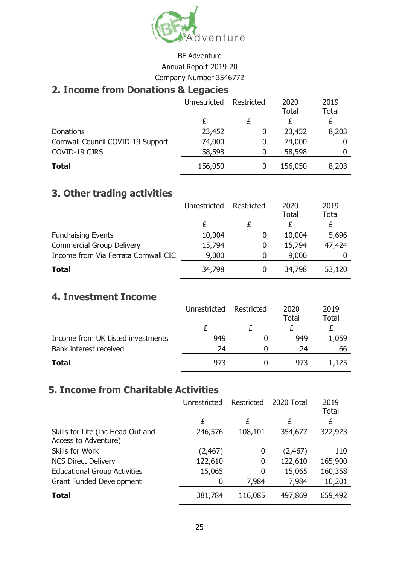

## **2. Income from Donations & Legacies**

|                                   | <b>Unrestricted</b> | Restricted | 2020<br><b>Total</b> | 2019<br><b>Total</b> |
|-----------------------------------|---------------------|------------|----------------------|----------------------|
|                                   |                     |            | £                    | £                    |
| <b>Donations</b>                  | 23,452              |            | 23,452               | 8,203                |
| Cornwall Council COVID-19 Support | 74,000              | 0          | 74,000               |                      |
| COVID-19 CJRS                     | 58,598              |            | 58,598               |                      |
| <b>Total</b>                      | 156,050             |            | 156,050              | 8,203                |

## **3. Other trading activities**

|                                      | Unrestricted | Restricted | 2020         | 2019         |
|--------------------------------------|--------------|------------|--------------|--------------|
|                                      |              |            | <b>Total</b> | <b>Total</b> |
|                                      |              |            | £            | £            |
| <b>Fundraising Events</b>            | 10,004       | O          | 10,004       | 5,696        |
| <b>Commercial Group Delivery</b>     | 15,794       | O          | 15,794       | 47,424       |
| Income from Via Ferrata Cornwall CIC | 9,000        |            | 9,000        |              |
| <b>Total</b>                         | 34,798       |            | 34,798       | 53,120       |

## **4. Investment Income**

|                                   | Unrestricted | Restricted | 2020<br><b>Total</b> | 2019<br>Total |
|-----------------------------------|--------------|------------|----------------------|---------------|
|                                   |              |            |                      |               |
| Income from UK Listed investments | 949          |            | 949                  | 1,059         |
| Bank interest received            | 24           |            | 24                   | 66            |
| <b>Total</b>                      | 973          |            | 973                  | 1,125         |

## **5. Income from Charitable Activities**

|                                                           | Unrestricted | Restricted | 2020 Total | 2019<br><b>Total</b> |
|-----------------------------------------------------------|--------------|------------|------------|----------------------|
|                                                           | £            | £          | £          | £                    |
| Skills for Life (inc Head Out and<br>Access to Adventure) | 246,576      | 108,101    | 354,677    | 322,923              |
| Skills for Work                                           | (2, 467)     | 0          | (2, 467)   | 110                  |
| <b>NCS Direct Delivery</b>                                | 122,610      | 0          | 122,610    | 165,900              |
| <b>Educational Group Activities</b>                       | 15,065       | 0          | 15,065     | 160,358              |
| <b>Grant Funded Development</b>                           | 0            | 7,984      | 7,984      | 10,201               |
| <b>Total</b>                                              | 381,784      | 116,085    | 497,869    | 659,492              |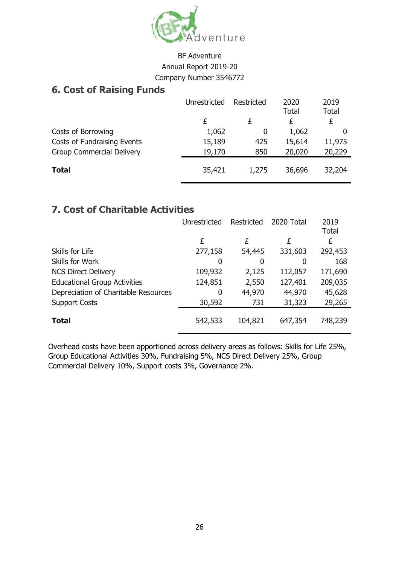

## **6. Cost of Raising Funds**

|                                  | Unrestricted | Restricted | 2020<br><b>Total</b> | 2019<br><b>Total</b> |
|----------------------------------|--------------|------------|----------------------|----------------------|
|                                  | £            | £          | £                    | £                    |
| Costs of Borrowing               | 1,062        | 0          | 1,062                |                      |
| Costs of Fundraising Events      | 15,189       | 425        | 15,614               | 11,975               |
| <b>Group Commercial Delivery</b> | 19,170       | 850        | 20,020               | 20,229               |
| <b>Total</b>                     | 35,421       | 1,275      | 36,696               | 32,204               |

## **7. Cost of Charitable Activities**

|                                      | Unrestricted | Restricted | 2020 Total | 2019<br><b>Total</b> |
|--------------------------------------|--------------|------------|------------|----------------------|
|                                      | £            | £          | £          | £                    |
| Skills for Life                      | 277,158      | 54,445     | 331,603    | 292,453              |
| Skills for Work                      | 0            | 0          | 0          | 168                  |
| <b>NCS Direct Delivery</b>           | 109,932      | 2,125      | 112,057    | 171,690              |
| <b>Educational Group Activities</b>  | 124,851      | 2,550      | 127,401    | 209,035              |
| Depreciation of Charitable Resources | 0            | 44,970     | 44,970     | 45,628               |
| <b>Support Costs</b>                 | 30,592       | 731        | 31,323     | 29,265               |
| <b>Total</b>                         | 542,533      | 104,821    | 647,354    | 748,239              |

Overhead costs have been apportioned across delivery areas as follows: Skills for Life 25%, Group Educational Activities 30%, Fundraising 5%, NCS Direct Delivery 25%, Group Commercial Delivery 10%, Support costs 3%, Governance 2%.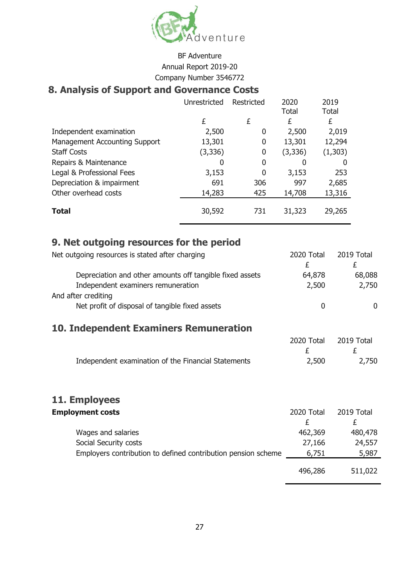

## **8. Analysis of Support and Governance Costs**

|                                      | Unrestricted | Restricted | 2020<br><b>Total</b> | 2019<br><b>Total</b> |
|--------------------------------------|--------------|------------|----------------------|----------------------|
|                                      | £            | £          | £                    | £                    |
| Independent examination              | 2,500        | 0          | 2,500                | 2,019                |
| <b>Management Accounting Support</b> | 13,301       | 0          | 13,301               | 12,294               |
| <b>Staff Costs</b>                   | (3, 336)     | 0          | (3, 336)             | (1,303)              |
| Repairs & Maintenance                | 0            | 0          | 0                    |                      |
| Legal & Professional Fees            | 3,153        | 0          | 3,153                | 253                  |
| Depreciation & impairment            | 691          | 306        | 997                  | 2,685                |
| Other overhead costs                 | 14,283       | 425        | 14,708               | 13,316               |
| <b>Total</b>                         | 30,592       | 731        | 31,323               | 29,265               |

## **9. Net outgoing resources for the period**

| Net outgoing resources is stated after charging          | 2020 Total | 2019 Total   |
|----------------------------------------------------------|------------|--------------|
|                                                          | £          | £            |
| Depreciation and other amounts off tangible fixed assets | 64,878     | 68,088       |
| Independent examiners remuneration                       | 2,500      | 2,750        |
| And after crediting                                      |            |              |
| Net profit of disposal of tangible fixed assets          | 0          | $\mathbf{0}$ |
|                                                          |            |              |
| <b>10. Independent Examiners Remuneration</b>            |            |              |
|                                                          | 2020 Total | 2019 Total   |
|                                                          | £          | £            |
| Independent examination of the Financial Statements      | 2,500      | 2,750        |
|                                                          |            |              |
|                                                          |            |              |
|                                                          |            |              |
| 11. Employees                                            |            |              |
|                                                          |            |              |

| <b>Employment costs</b>                                       | 2020 Total | 2019 Total |
|---------------------------------------------------------------|------------|------------|
|                                                               |            |            |
| Wages and salaries                                            | 462,369    | 480,478    |
| Social Security costs                                         | 27,166     | 24,557     |
| Employers contribution to defined contribution pension scheme | 6,751      | 5,987      |
|                                                               | 496,286    | 511,022    |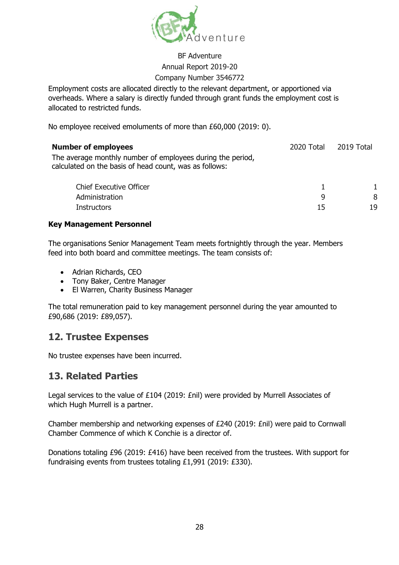

Employment costs are allocated directly to the relevant department, or apportioned via overheads. Where a salary is directly funded through grant funds the employment cost is allocated to restricted funds.

No employee received emoluments of more than £60,000 (2019: 0).

| <b>Number of employees</b>                                                                                           | 2020 Total | 2019 Total |
|----------------------------------------------------------------------------------------------------------------------|------------|------------|
| The average monthly number of employees during the period,<br>calculated on the basis of head count, was as follows: |            |            |
| <b>Chief Executive Officer</b>                                                                                       |            |            |
| Administration                                                                                                       | q          | 8          |
| <b>Instructors</b>                                                                                                   | 15         | 19         |

#### **Key Management Personnel**

The organisations Senior Management Team meets fortnightly through the year. Members feed into both board and committee meetings. The team consists of:

- Adrian Richards, CEO
- Tony Baker, Centre Manager
- El Warren, Charity Business Manager

The total remuneration paid to key management personnel during the year amounted to £90,686 (2019: £89,057).

## **12. Trustee Expenses**

No trustee expenses have been incurred.

## **13. Related Parties**

Legal services to the value of £104 (2019: £nil) were provided by Murrell Associates of which Hugh Murrell is a partner.

Chamber membership and networking expenses of £240 (2019: £nil) were paid to Cornwall Chamber Commence of which K Conchie is a director of.

Donations totaling £96 (2019: £416) have been received from the trustees. With support for fundraising events from trustees totaling £1,991 (2019: £330).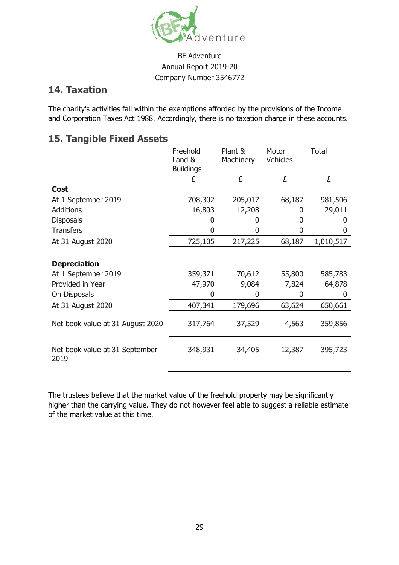

## **14. Taxation**

The charity's activities fall within the exemptions afforded by the provisions of the Income and Corporation Taxes Act 1988. Accordingly, there is no taxation charge in these accounts.

## **15. Tangible Fixed Assets**

|                                        | Freehold<br>Land &<br><b>Buildings</b> | Plant &<br>Machinery | Motor<br>Vehicles | <b>Total</b> |
|----------------------------------------|----------------------------------------|----------------------|-------------------|--------------|
|                                        | £                                      | £                    | £                 | £            |
| <b>Cost</b>                            |                                        |                      |                   |              |
| At 1 September 2019                    | 708,302                                | 205,017              | 68,187            | 981,506      |
| <b>Additions</b>                       | 16,803                                 | 12,208               | 0                 | 29,011       |
| <b>Disposals</b>                       |                                        | 0                    | 0                 | $\mathbf{0}$ |
| <b>Transfers</b>                       | N                                      |                      | 0                 |              |
| At 31 August 2020                      | 725,105                                | 217,225              | 68,187            | 1,010,517    |
| <b>Depreciation</b>                    |                                        |                      |                   |              |
| At 1 September 2019                    | 359,371                                | 170,612              | 55,800            | 585,783      |
| Provided in Year                       | 47,970                                 | 9,084                | 7,824             | 64,878       |
| On Disposals                           | 0                                      | 0                    | 0                 | $\Omega$     |
| At 31 August 2020                      | 407,341                                | 179,696              | 63,624            | 650,661      |
| Net book value at 31 August 2020       | 317,764                                | 37,529               | 4,563             | 359,856      |
| Net book value at 31 September<br>2019 | 348,931                                | 34,405               | 12,387            | 395,723      |

The trustees believe that the market value of the freehold property may be significantly higher than the carrying value. They do not however feel able to suggest a reliable estimate of the market value at this time.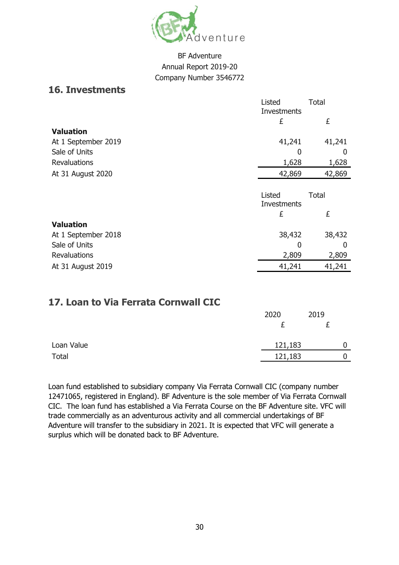

### **16. Investments**

|                     | Listed<br>Investments | <b>Total</b> |
|---------------------|-----------------------|--------------|
|                     | £                     | £            |
| <b>Valuation</b>    |                       |              |
| At 1 September 2019 | 41,241                | 41,241       |
| Sale of Units       | 0                     | O            |
| <b>Revaluations</b> | 1,628                 | 1,628        |
| At 31 August 2020   | 42,869                | 42,869       |
|                     |                       |              |
|                     | Listed                | <b>Total</b> |
|                     | Investments           |              |
|                     | £                     | £            |
| <b>Valuation</b>    |                       |              |
| At 1 September 2018 | 38,432                | 38,432       |
| Sale of Units       | 0                     |              |
| <b>Revaluations</b> | 2,809                 | 2,809        |
| At 31 August 2019   | 41,241                | 41,241       |

## **17. Loan to Via Ferrata Cornwall CIC**

|              | 2020    | 2019 |
|--------------|---------|------|
|              |         |      |
| Loan Value   | 121,183 |      |
| <b>Total</b> | 121,183 |      |

Loan fund established to subsidiary company Via Ferrata Cornwall CIC (company number 12471065, registered in England). BF Adventure is the sole member of Via Ferrata Cornwall CIC. The loan fund has established a Via Ferrata Course on the BF Adventure site. VFC will trade commercially as an adventurous activity and all commercial undertakings of BF Adventure will transfer to the subsidiary in 2021. It is expected that VFC will generate a surplus which will be donated back to BF Adventure.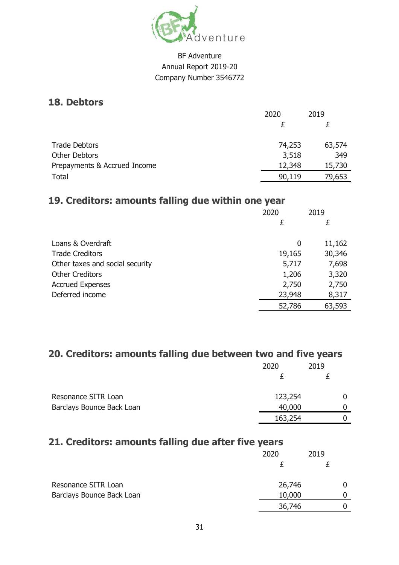

### **18. Debtors**

|                              | 2020   | 2019   |
|------------------------------|--------|--------|
|                              |        |        |
| <b>Trade Debtors</b>         | 74,253 | 63,574 |
| <b>Other Debtors</b>         | 3,518  | 349    |
| Prepayments & Accrued Income | 12,348 | 15,730 |
| <b>Total</b>                 | 90,119 | 79,653 |

## **19. Creditors: amounts falling due within one year**

|                                 | 2020   | 2019   |
|---------------------------------|--------|--------|
|                                 | £      | £      |
|                                 |        |        |
| Loans & Overdraft               | 0      | 11,162 |
| <b>Trade Creditors</b>          | 19,165 | 30,346 |
| Other taxes and social security | 5,717  | 7,698  |
| <b>Other Creditors</b>          | 1,206  | 3,320  |
| <b>Accrued Expenses</b>         | 2,750  | 2,750  |
| Deferred income                 | 23,948 | 8,317  |
|                                 | 52,786 | 63,593 |

## **20. Creditors: amounts falling due between two and five years**

|                           | 2020    | 2019 |
|---------------------------|---------|------|
|                           |         |      |
| Resonance SITR Loan       | 123,254 |      |
| Barclays Bounce Back Loan | 40,000  |      |
|                           | 163,254 |      |

## **21. Creditors: amounts falling due after five years**

|                           | 2020   | 2019 |  |
|---------------------------|--------|------|--|
|                           |        |      |  |
| Resonance SITR Loan       | 26,746 |      |  |
| Barclays Bounce Back Loan | 10,000 |      |  |
|                           | 36,746 |      |  |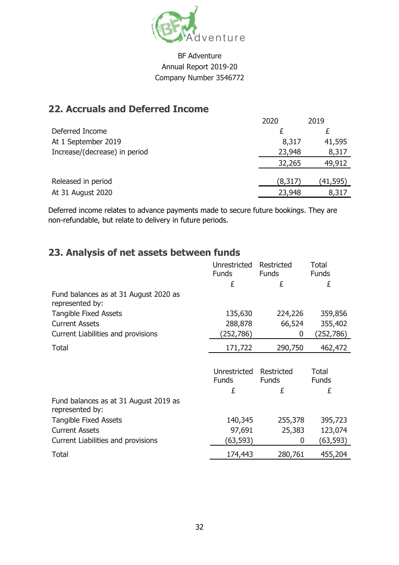

## **22. Accruals and Deferred Income**

|                               | 2020   | 2019     |
|-------------------------------|--------|----------|
| Deferred Income               |        |          |
| At 1 September 2019           | 8,317  | 41,595   |
| Increase/(decrease) in period | 23,948 | 8,317    |
|                               | 32,265 | 49,912   |
|                               |        |          |
| Released in period            | (8,317 | (41,595) |
| At 31 August 2020             | 23,948 | 8,317    |

Deferred income relates to advance payments made to secure future bookings. They are non-refundable, but relate to delivery in future periods.

## **23. Analysis of net assets between funds**

|                                                          | Unrestricted                 | Restricted                 | Total                 |
|----------------------------------------------------------|------------------------------|----------------------------|-----------------------|
|                                                          | <b>Funds</b>                 | <b>Funds</b>               | <b>Funds</b>          |
|                                                          | £                            | £                          | £                     |
| Fund balances as at 31 August 2020 as<br>represented by: |                              |                            |                       |
| <b>Tangible Fixed Assets</b>                             | 135,630                      | 224,226                    | 359,856               |
| <b>Current Assets</b>                                    | 288,878                      | 66,524                     | 355,402               |
| Current Liabilities and provisions                       | (252,786)                    | 0                          | (252,786)             |
| <b>Total</b>                                             | 171,722                      | 290,750                    | 462,472               |
|                                                          |                              |                            |                       |
|                                                          | Unrestricted<br><b>Funds</b> | Restricted<br><b>Funds</b> | Total<br><b>Funds</b> |
|                                                          | £                            | £                          | £                     |
| Fund balances as at 31 August 2019 as<br>represented by: |                              |                            |                       |
| <b>Tangible Fixed Assets</b>                             |                              |                            |                       |
|                                                          | 140,345                      | 255,378                    | 395,723               |
| <b>Current Assets</b>                                    | 97,691                       | 25,383                     | 123,074               |
| Current Liabilities and provisions                       | (63, 593)                    | 0                          | (63,593)              |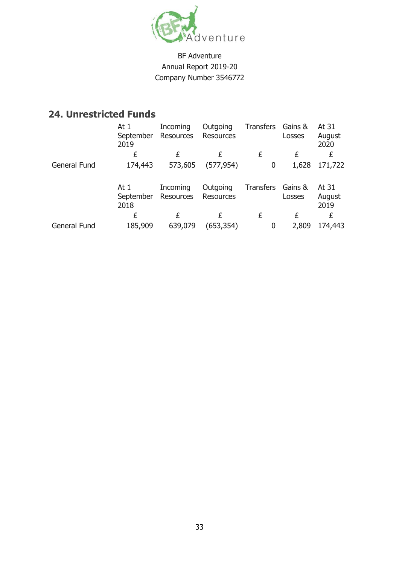

## **24. Unrestricted Funds**

|              | At $1$<br>September<br>2019 | Incoming<br>Resources | Outgoing<br><b>Resources</b> | <b>Transfers</b> | Gains &<br>Losses | At 31<br>August<br>2020 |
|--------------|-----------------------------|-----------------------|------------------------------|------------------|-------------------|-------------------------|
|              | £                           | £                     | £                            | £                | £                 | £                       |
| General Fund | 174,443                     | 573,605               | (577, 954)                   | 0                | 1,628             | 171,722                 |
|              | At $1$<br>September<br>2018 | Incoming<br>Resources | Outgoing<br><b>Resources</b> | <b>Transfers</b> | Gains &<br>Losses | At 31<br>August<br>2019 |
|              | £                           | £                     | £                            | £                | £                 | £                       |
| General Fund | 185,909                     | 639,079               | (653,354)                    | 0                | 2,809             | 174,443                 |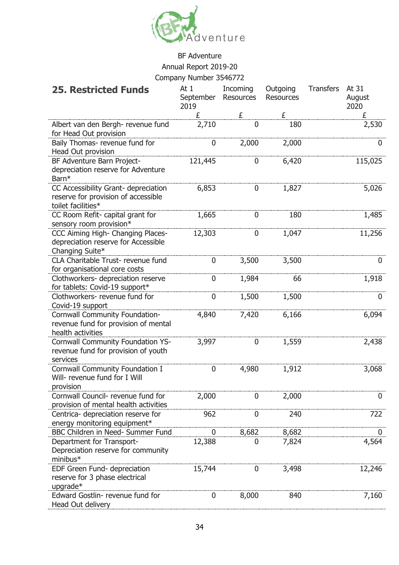

## BF Adventure Annual Report 2019-20

#### Company Number 3546772

| <b>25. Restricted Funds</b>                                                                       | At $1$<br>September<br>2019 | Incoming<br><b>Resources</b> | Outgoing<br><b>Resources</b> | <b>Transfers</b> | At 31<br>August<br>2020 |
|---------------------------------------------------------------------------------------------------|-----------------------------|------------------------------|------------------------------|------------------|-------------------------|
|                                                                                                   | £                           | £                            | £                            |                  | £                       |
| Albert van den Bergh- revenue fund<br>for Head Out provision                                      | 2,710                       | $\mathbf 0$                  | 180                          |                  | 2,530                   |
| Baily Thomas- revenue fund for<br>Head Out provision                                              | 0                           | 2,000                        | 2,000                        |                  | 0                       |
| BF Adventure Barn Project-<br>depreciation reserve for Adventure<br>Barn*                         | 121,445                     | 0                            | 6,420                        |                  | 115,025                 |
| CC Accessibility Grant- depreciation<br>reserve for provision of accessible<br>toilet facilities* | 6,853                       | 0                            | 1,827                        |                  | 5,026                   |
| CC Room Refit- capital grant for<br>sensory room provision*                                       | 1,665                       | 0                            | 180                          |                  | 1,485                   |
| CCC Aiming High- Changing Places-<br>depreciation reserve for Accessible<br>Changing Suite*       | 12,303                      | 0                            | 1,047                        |                  | 11,256                  |
| CLA Charitable Trust- revenue fund<br>for organisational core costs                               | $\mathbf 0$                 | 3,500                        | 3,500                        |                  | $\boldsymbol{0}$        |
| Clothworkers- depreciation reserve<br>for tablets: Covid-19 support*                              | $\overline{0}$              | 1,984                        | 66                           |                  | 1,918                   |
| Clothworkers- revenue fund for<br>Covid-19 support                                                | 0                           | 1,500                        | 1,500                        |                  | 0                       |
| Cornwall Community Foundation-<br>revenue fund for provision of mental<br>health activities       | 4,840                       | 7,420                        | 6,166                        |                  | 6,094                   |
| <b>Cornwall Community Foundation YS-</b><br>revenue fund for provision of youth<br>services       | 3,997                       | 0                            | 1,559                        |                  | 2,438                   |
| Cornwall Community Foundation I<br>Will- revenue fund for I Will<br>provision                     | 0                           | 4,980                        | 1,912                        |                  | 3,068                   |
| Cornwall Council- revenue fund for<br>provision of mental health activities                       | 2,000                       | 0                            | 2,000                        |                  | 0                       |
| Centrica- depreciation reserve for<br>energy monitoring equipment*                                | 962                         | 0                            | 240                          |                  | 722                     |
| BBC Children in Need- Summer Fund                                                                 | $\boldsymbol{0}$            | 8,682                        | 8,682                        |                  | 0                       |
| Department for Transport-<br>Depreciation reserve for community<br>minibus*                       | 12,388                      | 0                            | 7,824                        |                  | 4,564                   |
| EDF Green Fund- depreciation<br>reserve for 3 phase electrical<br>upgrade*                        | 15,744                      | 0                            | 3,498                        |                  | 12,246                  |
| Edward Gostlin-revenue fund for<br>Head Out delivery                                              | 0                           | 8,000                        | 840                          |                  | 7,160                   |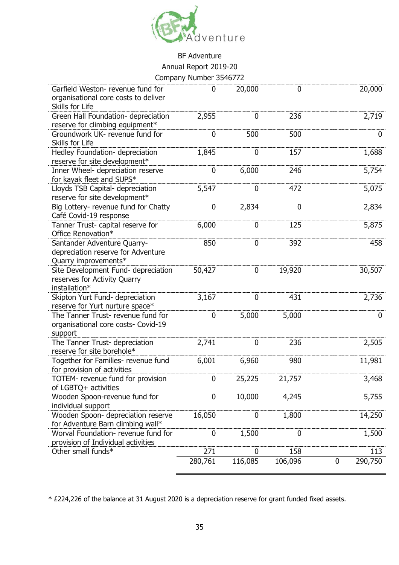

|                                                                                              | CUTTPAITY NUTTIVEL 3340772 |                  |         |              |
|----------------------------------------------------------------------------------------------|----------------------------|------------------|---------|--------------|
| Garfield Weston- revenue fund for<br>organisational core costs to deliver<br>Skills for Life | $\mathbf{0}$               | 20,000           | 0       | 20,000       |
| Green Hall Foundation- depreciation<br>reserve for climbing equipment*                       | 2,955                      | 0                | 236     | 2,719        |
| Groundwork UK- revenue fund for<br>Skills for Life                                           | $\mathbf 0$                | 500              | 500     | 0            |
| Hedley Foundation- depreciation<br>reserve for site development*                             | 1,845                      | $\boldsymbol{0}$ | 157     | 1,688        |
| Inner Wheel- depreciation reserve<br>for kayak fleet and SUPS*                               | $\boldsymbol{0}$           | 6,000            | 246     | 5,754        |
| Lloyds TSB Capital- depreciation<br>reserve for site development*                            | 5,547                      | 0                | 472     | 5,075        |
| Big Lottery- revenue fund for Chatty<br>Café Covid-19 response                               | $\boldsymbol{0}$           | 2,834            | 0       | 2,834        |
| Tanner Trust- capital reserve for<br>Office Renovation*                                      | 6,000                      | 0                | 125     | 5,875        |
| Santander Adventure Quarry-<br>depreciation reserve for Adventure<br>Quarry improvements*    | 850                        | 0                | 392     | 458          |
| Site Development Fund- depreciation<br>reserves for Activity Quarry<br>installation*         | 50,427                     | 0                | 19,920  | 30,507       |
| Skipton Yurt Fund- depreciation<br>reserve for Yurt nurture space*                           | 3,167                      | 0                | 431     | 2,736        |
| The Tanner Trust- revenue fund for<br>organisational core costs- Covid-19<br>support         | $\mathbf 0$                | 5,000            | 5,000   | 0            |
| The Tanner Trust- depreciation<br>reserve for site borehole*                                 | 2,741                      | 0                | 236     | 2,505        |
| Together for Families- revenue fund<br>for provision of activities                           | 6,001                      | 6,960            | 980     | 11,981       |
| TOTEM- revenue fund for provision<br>of LGBTQ+ activities                                    | 0                          | 25,225           | 21,757  | 3,468        |
| Wooden Spoon-revenue fund for<br>individual support                                          | 0                          | 10,000           | 4,245   | 5,755        |
| Wooden Spoon- depreciation reserve<br>for Adventure Barn climbing wall*                      | 16,050                     | 0                | 1,800   | 14,250       |
| Worval Foundation- revenue fund for<br>provision of Individual activities                    | 0                          | 1,500            | O       | 1,500        |
| Other small funds*                                                                           | 271                        | O                | 158     | 113          |
|                                                                                              | 280,761                    | 116,085          | 106,096 | 290,750<br>0 |

\* £224,226 of the balance at 31 August 2020 is a depreciation reserve for grant funded fixed assets.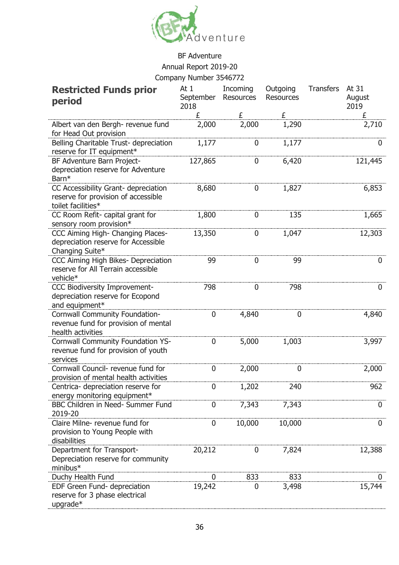

## BF Adventure Annual Report 2019-20

Company Number 3546772

| <b>Restricted Funds prior</b><br>period                                                           | At 1<br>September<br>2018 | Incoming<br>Resources | Outgoing<br><b>Resources</b> | <b>Transfers</b> | At 31<br>August<br>2019 |
|---------------------------------------------------------------------------------------------------|---------------------------|-----------------------|------------------------------|------------------|-------------------------|
|                                                                                                   | £                         | £                     | £                            |                  | £                       |
| Albert van den Bergh- revenue fund<br>for Head Out provision                                      | 2,000                     | 2,000                 | 1,290                        |                  | 2,710                   |
| Belling Charitable Trust- depreciation<br>reserve for IT equipment*                               | 1,177                     | 0                     | 1,177                        |                  | 0                       |
| BF Adventure Barn Project-<br>depreciation reserve for Adventure<br>Barn*                         | 127,865                   | 0                     | 6,420                        |                  | 121,445                 |
| CC Accessibility Grant- depreciation<br>reserve for provision of accessible<br>toilet facilities* | 8,680                     | 0                     | 1,827                        |                  | 6,853                   |
| CC Room Refit- capital grant for<br>sensory room provision*                                       | 1,800                     | 0                     | 135                          |                  | 1,665                   |
| CCC Aiming High- Changing Places-<br>depreciation reserve for Accessible<br>Changing Suite*       | 13,350                    | 0                     | 1,047                        |                  | 12,303                  |
| CCC Aiming High Bikes- Depreciation<br>reserve for All Terrain accessible<br>vehicle*             | 99                        | 0                     | 99                           |                  | 0                       |
| CCC Biodiversity Improvement-<br>depreciation reserve for Ecopond<br>and equipment*               | 798                       | 0                     | 798                          |                  | 0                       |
| Cornwall Community Foundation-<br>revenue fund for provision of mental<br>health activities       | 0                         | 4,840                 | 0                            |                  | 4,840                   |
| Cornwall Community Foundation YS-<br>revenue fund for provision of youth<br>services              | 0                         | 5,000                 | 1,003                        |                  | 3,997                   |
| Cornwall Council- revenue fund for<br>provision of mental health activities                       | 0                         | 2,000                 | 0                            |                  | 2,000                   |
| Centrica- depreciation reserve for<br>energy monitoring equipment*                                | 0                         | 1,202                 | 240                          |                  | 962                     |
| BBC Children in Need- Summer Fund<br>2019-20                                                      | 0                         | 7,343                 | 7,343                        |                  | 0                       |
| Claire Milne- revenue fund for<br>provision to Young People with<br>disabilities                  | 0                         | 10,000                | 10,000                       |                  | 0                       |
| Department for Transport-<br>Depreciation reserve for community<br>minibus*                       | 20,212                    | 0                     | 7,824                        |                  | 12,388                  |
| Duchy Health Fund                                                                                 | 0                         | 833                   | 833                          |                  |                         |
| EDF Green Fund- depreciation<br>reserve for 3 phase electrical<br>upgrade*                        | 19,242                    | 0                     | 3,498                        |                  | 15,744                  |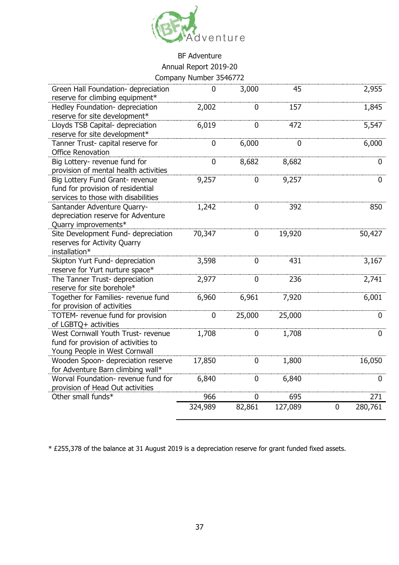

| Green Hall Foundation- depreciation   | 0           | 3,000  | 45      |                | 2,955       |
|---------------------------------------|-------------|--------|---------|----------------|-------------|
| reserve for climbing equipment*       |             |        |         |                |             |
| Hedley Foundation- depreciation       | 2,002       | 0      | 157     |                | 1,845       |
| reserve for site development*         |             |        |         |                |             |
| Lloyds TSB Capital- depreciation      | 6,019       | 0      | 472     |                | 5,547       |
| reserve for site development*         |             |        |         |                |             |
| Tanner Trust- capital reserve for     | 0           | 6,000  | 0       |                | 6,000       |
| <b>Office Renovation</b>              |             |        |         |                |             |
| Big Lottery- revenue fund for         | 0           | 8,682  | 8,682   |                | 0           |
| provision of mental health activities |             |        |         |                |             |
| Big Lottery Fund Grant- revenue       | 9,257       | 0      | 9,257   |                | $\mathbf 0$ |
| fund for provision of residential     |             |        |         |                |             |
| services to those with disabilities   |             |        |         |                |             |
| Santander Adventure Quarry-           | 1,242       | 0      | 392     |                | 850         |
| depreciation reserve for Adventure    |             |        |         |                |             |
| Quarry improvements*                  |             |        |         |                |             |
| Site Development Fund- depreciation   | 70,347      | 0      | 19,920  |                | 50,427      |
| reserves for Activity Quarry          |             |        |         |                |             |
| installation*                         |             |        |         |                |             |
| Skipton Yurt Fund- depreciation       | 3,598       | 0      | 431     |                | 3,167       |
| reserve for Yurt nurture space*       |             |        |         |                |             |
| The Tanner Trust- depreciation        | 2,977       | 0      | 236     |                | 2,741       |
| reserve for site borehole*            |             |        |         |                |             |
| Together for Families- revenue fund   | 6,960       | 6,961  | 7,920   |                | 6,001       |
| for provision of activities           |             |        |         |                |             |
| TOTEM- revenue fund for provision     | $\mathbf 0$ | 25,000 | 25,000  |                | 0           |
| of LGBTQ+ activities                  |             |        |         |                |             |
| West Cornwall Youth Trust- revenue    | 1,708       | 0      | 1,708   |                | 0           |
| fund for provision of activities to   |             |        |         |                |             |
| Young People in West Cornwall         |             |        |         |                |             |
| Wooden Spoon- depreciation reserve    | 17,850      | 0      | 1,800   |                | 16,050      |
| for Adventure Barn climbing wall*     |             |        |         |                |             |
| Worval Foundation- revenue fund for   | 6,840       | 0      | 6,840   |                | 0           |
| provision of Head Out activities      |             |        |         |                |             |
| Other small funds*                    | 966         | 0      | 695     |                | 271         |
|                                       | 324,989     | 82,861 | 127,089 | $\overline{0}$ | 280,761     |
|                                       |             |        |         |                |             |

\* £255,378 of the balance at 31 August 2019 is a depreciation reserve for grant funded fixed assets.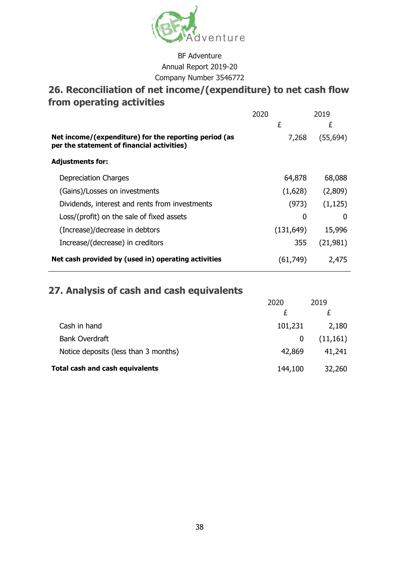

## **26. Reconciliation of net income/(expenditure) to net cash flow from operating activities**

|                                                                                                     | 2020 |            | 2019      |
|-----------------------------------------------------------------------------------------------------|------|------------|-----------|
|                                                                                                     |      | £          | £         |
| Net income/(expenditure) for the reporting period (as<br>per the statement of financial activities) |      | 7,268      | (55, 694) |
| <b>Adjustments for:</b>                                                                             |      |            |           |
| Depreciation Charges                                                                                |      | 64,878     | 68,088    |
| (Gains)/Losses on investments                                                                       |      | (1,628)    | (2,809)   |
| Dividends, interest and rents from investments                                                      |      | (973)      | (1, 125)  |
| Loss/(profit) on the sale of fixed assets                                                           |      | 0          | 0         |
| (Increase)/decrease in debtors                                                                      |      | (131, 649) | 15,996    |
| Increase/(decrease) in creditors                                                                    |      | 355        | (21, 981) |
| Net cash provided by (used in) operating activities                                                 |      | (61, 749)  | 2,475     |

## **27. Analysis of cash and cash equivalents**

|                                      | 2020    | 2019      |
|--------------------------------------|---------|-----------|
|                                      |         |           |
| Cash in hand                         | 101,231 | 2,180     |
| <b>Bank Overdraft</b>                | 0       | (11, 161) |
| Notice deposits (less than 3 months) | 42,869  | 41,241    |
| Total cash and cash equivalents      | 144,100 | 32,260    |